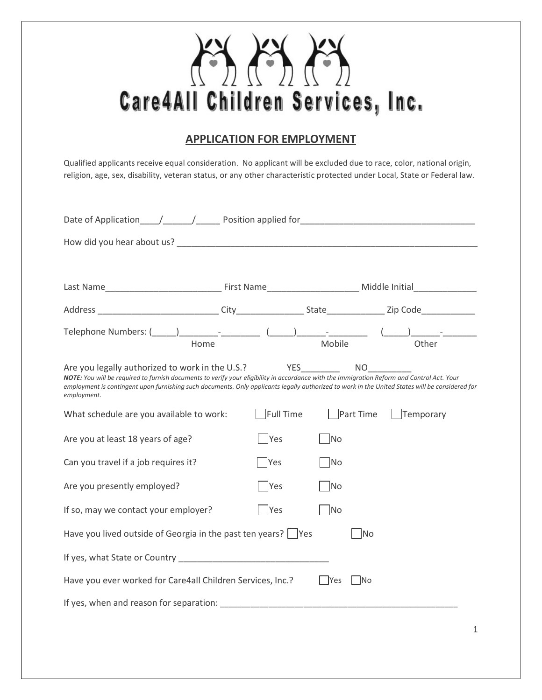## $\left(\frac{1}{2}\right)$ Care4All Children Services, Inc.

## APPLICATION FOR EMPLOYMENT

Qualified applicants receive equal consideration. No applicant will be excluded due to race, color, national origin, religion, age, sex, disability, veteran status, or any other characteristic protected under Local, State or Federal law.

| Home                                                                                                                                                                                                                                                                                                                                                                |              | Mobile          | Other     |
|---------------------------------------------------------------------------------------------------------------------------------------------------------------------------------------------------------------------------------------------------------------------------------------------------------------------------------------------------------------------|--------------|-----------------|-----------|
| Are you legally authorized to work in the U.S.? YES<br>NOTE: You will be required to furnish documents to verify your eligibility in accordance with the Immigration Reform and Control Act. Your<br>employment is contingent upon furnishing such documents. Only applicants legally authorized to work in the United States will be considered for<br>employment. |              | NO <sub>2</sub> |           |
| What schedule are you available to work:                                                                                                                                                                                                                                                                                                                            | Full Time    | Part Time       | Temporary |
| Are you at least 18 years of age?                                                                                                                                                                                                                                                                                                                                   | Yes          | N <sub>O</sub>  |           |
| Can you travel if a job requires it?                                                                                                                                                                                                                                                                                                                                | Yes          | No              |           |
| Are you presently employed?                                                                                                                                                                                                                                                                                                                                         | Yes          | $\n  No\n$      |           |
| If so, may we contact your employer?                                                                                                                                                                                                                                                                                                                                | <b>P</b> Yes | <b>No</b>       |           |
| Have you lived outside of Georgia in the past ten years? $ $ Yes                                                                                                                                                                                                                                                                                                    |              | lNo             |           |
|                                                                                                                                                                                                                                                                                                                                                                     |              |                 |           |
| Have you ever worked for Care4all Children Services, Inc.?                                                                                                                                                                                                                                                                                                          |              | Yes<br> No      |           |
|                                                                                                                                                                                                                                                                                                                                                                     |              |                 |           |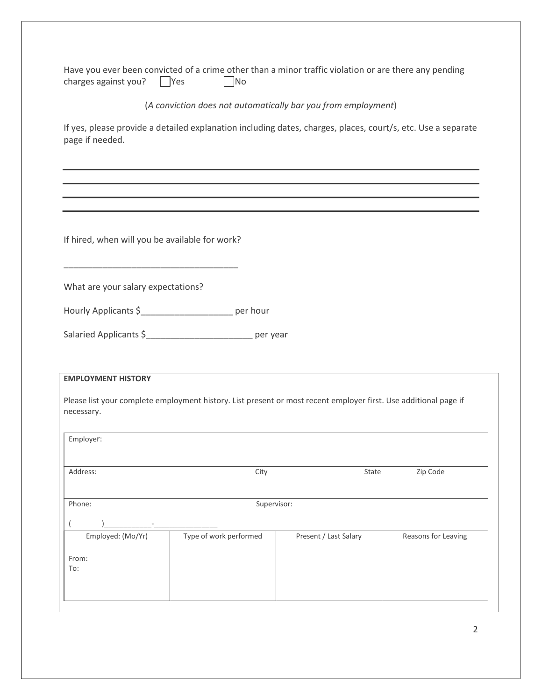| Have you ever been convicted of a crime other than a minor traffic violation or are there any pending<br>charges against you? $\Box$ Yes | $\vert$ No                                                                                                       |                       |                     |  |
|------------------------------------------------------------------------------------------------------------------------------------------|------------------------------------------------------------------------------------------------------------------|-----------------------|---------------------|--|
|                                                                                                                                          | (A conviction does not automatically bar you from employment)                                                    |                       |                     |  |
| page if needed.                                                                                                                          | If yes, please provide a detailed explanation including dates, charges, places, court/s, etc. Use a separate     |                       |                     |  |
|                                                                                                                                          |                                                                                                                  |                       |                     |  |
|                                                                                                                                          |                                                                                                                  |                       |                     |  |
|                                                                                                                                          |                                                                                                                  |                       |                     |  |
| If hired, when will you be available for work?                                                                                           |                                                                                                                  |                       |                     |  |
|                                                                                                                                          |                                                                                                                  |                       |                     |  |
| What are your salary expectations?                                                                                                       |                                                                                                                  |                       |                     |  |
|                                                                                                                                          | Hourly Applicants \$________________________ per hour                                                            |                       |                     |  |
|                                                                                                                                          | Salaried Applicants \$____________________________ per year                                                      |                       |                     |  |
|                                                                                                                                          |                                                                                                                  |                       |                     |  |
| <b>EMPLOYMENT HISTORY</b>                                                                                                                |                                                                                                                  |                       |                     |  |
| necessary.                                                                                                                               | Please list your complete employment history. List present or most recent employer first. Use additional page if |                       |                     |  |
| Employer:                                                                                                                                |                                                                                                                  |                       |                     |  |
|                                                                                                                                          |                                                                                                                  |                       |                     |  |
| Address:                                                                                                                                 | City                                                                                                             | State                 | Zip Code            |  |
| Phone:                                                                                                                                   | Supervisor:                                                                                                      |                       |                     |  |
|                                                                                                                                          |                                                                                                                  |                       |                     |  |
| Employed: (Mo/Yr)                                                                                                                        | Type of work performed                                                                                           | Present / Last Salary | Reasons for Leaving |  |
|                                                                                                                                          |                                                                                                                  |                       |                     |  |
| From:<br>To:                                                                                                                             |                                                                                                                  |                       |                     |  |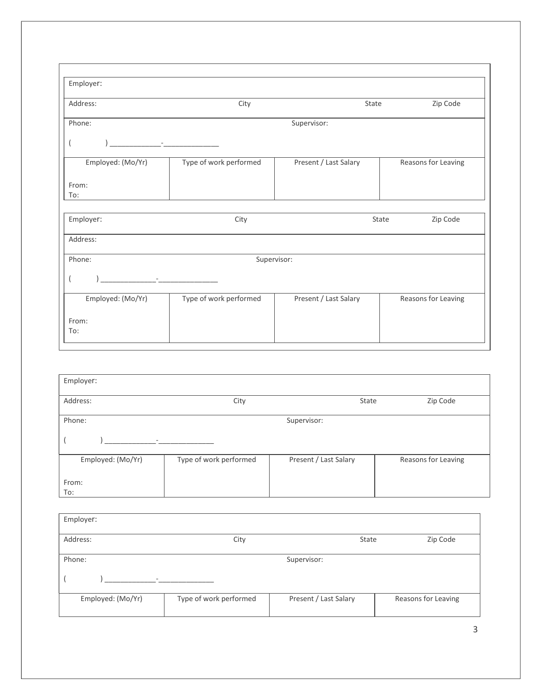| Employer:         |                               |                       |       |                     |
|-------------------|-------------------------------|-----------------------|-------|---------------------|
| Address:          | City                          |                       | State | Zip Code            |
| Phone:            |                               | Supervisor:           |       |                     |
|                   | the control of the control of |                       |       |                     |
| Employed: (Mo/Yr) | Type of work performed        | Present / Last Salary |       | Reasons for Leaving |
| From:             |                               |                       |       |                     |
| To:               |                               |                       |       |                     |
| Employer:         | City                          |                       | State | Zip Code            |
| Address:          |                               |                       |       |                     |
| Phone:            | Supervisor:                   |                       |       |                     |
| $\sim$<br>-       |                               |                       |       |                     |
| Employed: (Mo/Yr) | Type of work performed        | Present / Last Salary |       | Reasons for Leaving |
| From:             |                               |                       |       |                     |
|                   |                               |                       |       |                     |

| Employer:                |                        |                       |                     |  |
|--------------------------|------------------------|-----------------------|---------------------|--|
| Address:                 | City                   |                       | Zip Code<br>State   |  |
| Phone:                   |                        | Supervisor:           |                     |  |
| $\overline{\phantom{a}}$ |                        |                       |                     |  |
| Employed: (Mo/Yr)        | Type of work performed | Present / Last Salary | Reasons for Leaving |  |
| From:<br>To:             |                        |                       |                     |  |

| Employer:                |                        |                       |                     |
|--------------------------|------------------------|-----------------------|---------------------|
| Address:                 | City                   | State                 | Zip Code            |
| Phone:                   |                        | Supervisor:           |                     |
| $\overline{\phantom{a}}$ |                        |                       |                     |
| Employed: (Mo/Yr)        | Type of work performed | Present / Last Salary | Reasons for Leaving |
|                          |                        |                       |                     |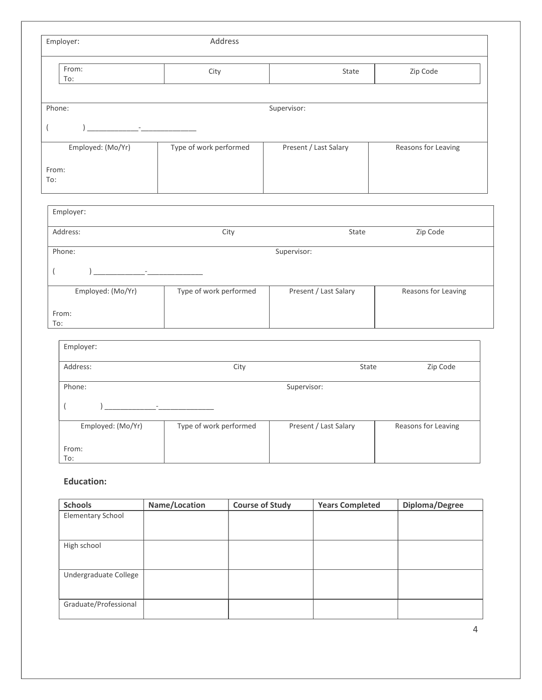| Employer:         | Address                |                       |                     |
|-------------------|------------------------|-----------------------|---------------------|
| From:<br>To:      | City                   | State                 | Zip Code            |
| Phone:<br>۰       |                        | Supervisor:           |                     |
| Employed: (Mo/Yr) | Type of work performed | Present / Last Salary | Reasons for Leaving |
| From:<br>To:      |                        |                       |                     |

| Address:          | City                   | State                 | Zip Code            |
|-------------------|------------------------|-----------------------|---------------------|
|                   |                        |                       |                     |
| Phone:            |                        | Supervisor:           |                     |
| $\sim$            |                        |                       |                     |
|                   |                        |                       |                     |
|                   |                        |                       |                     |
| Employed: (Mo/Yr) | Type of work performed | Present / Last Salary | Reasons for Leaving |
| From:             |                        |                       |                     |

| Employer:                |                        |                       |       |                     |
|--------------------------|------------------------|-----------------------|-------|---------------------|
| Address:                 | City                   |                       | State | Zip Code            |
| Phone:                   |                        | Supervisor:           |       |                     |
| $\overline{\phantom{a}}$ |                        |                       |       |                     |
| Employed: (Mo/Yr)        | Type of work performed | Present / Last Salary |       | Reasons for Leaving |
| From:                    |                        |                       |       |                     |
| To:                      |                        |                       |       |                     |

## Education:

| <b>Schools</b>           | Name/Location | <b>Course of Study</b> | <b>Years Completed</b> | Diploma/Degree |
|--------------------------|---------------|------------------------|------------------------|----------------|
| <b>Elementary School</b> |               |                        |                        |                |
|                          |               |                        |                        |                |
| High school              |               |                        |                        |                |
|                          |               |                        |                        |                |
|                          |               |                        |                        |                |
| Undergraduate College    |               |                        |                        |                |
|                          |               |                        |                        |                |
| Graduate/Professional    |               |                        |                        |                |
|                          |               |                        |                        |                |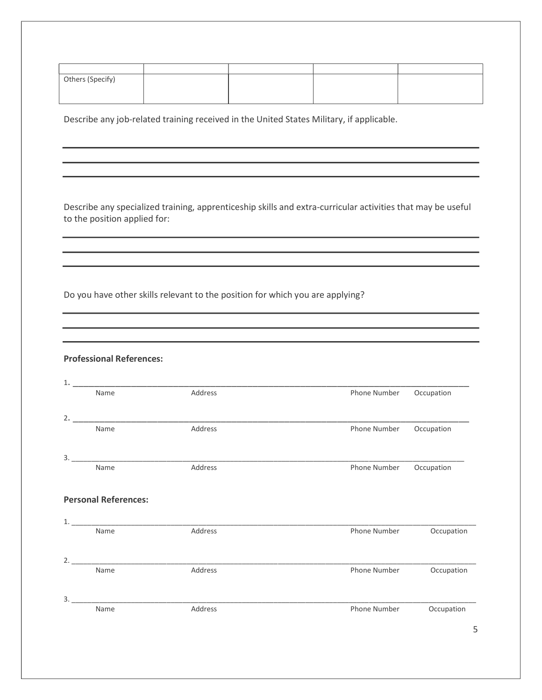| Others (Specify) |  |  |
|------------------|--|--|
|                  |  |  |
|                  |  |  |

Describe any job-related training received in the United States Military, if applicable.

Describe any specialized training, apprenticeship skills and extra-curricular activities that may be useful to the position applied for:

Do you have other skills relevant to the position for which you are applying?

| <b>Professional References:</b> |  |  |
|---------------------------------|--|--|
|                                 |  |  |

| Name                        | Address | Phone Number | Occupation |
|-----------------------------|---------|--------------|------------|
|                             |         |              |            |
| Name                        | Address | Phone Number | Occupation |
|                             |         |              |            |
| Name                        | Address | Phone Number | Occupation |
| <b>Personal References:</b> |         |              |            |
|                             | Address | Phone Number | Occupation |
| Name                        |         |              |            |
|                             |         |              |            |
| Name                        | Address | Phone Number | Occupation |
|                             |         |              |            |
| Name                        | Address | Phone Number | Occupation |
|                             |         |              |            |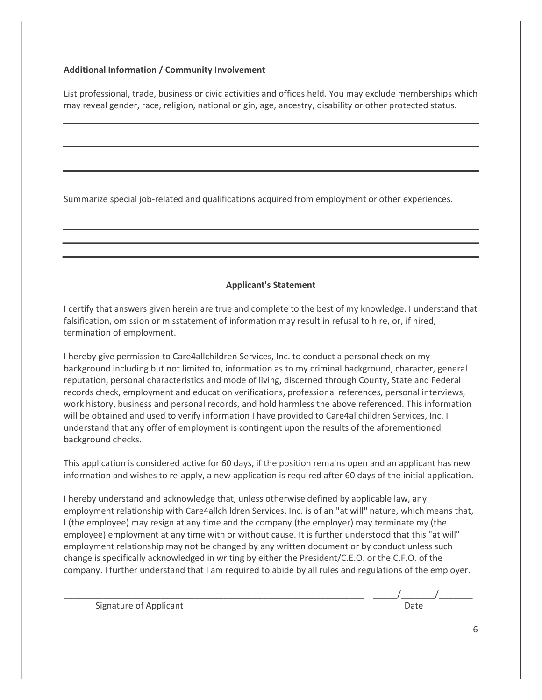## Additional Information / Community Involvement

List professional, trade, business or civic activities and offices held. You may exclude memberships which may reveal gender, race, religion, national origin, age, ancestry, disability or other protected status.

Summarize special job-related and qualifications acquired from employment or other experiences.

## Applicant's Statement

I certify that answers given herein are true and complete to the best of my knowledge. I understand that falsification, omission or misstatement of information may result in refusal to hire, or, if hired, termination of employment.

I hereby give permission to Care4allchildren Services, Inc. to conduct a personal check on my background including but not limited to, information as to my criminal background, character, general reputation, personal characteristics and mode of living, discerned through County, State and Federal records check, employment and education verifications, professional references, personal interviews, work history, business and personal records, and hold harmless the above referenced. This information will be obtained and used to verify information I have provided to Care4allchildren Services, Inc. I understand that any offer of employment is contingent upon the results of the aforementioned background checks.

This application is considered active for 60 days, if the position remains open and an applicant has new information and wishes to re-apply, a new application is required after 60 days of the initial application.

I hereby understand and acknowledge that, unless otherwise defined by applicable law, any employment relationship with Care4allchildren Services, Inc. is of an "at will" nature, which means that, I (the employee) may resign at any time and the company (the employer) may terminate my (the employee) employment at any time with or without cause. It is further understood that this "at will" employment relationship may not be changed by any written document or by conduct unless such change is specifically acknowledged in writing by either the President/C.E.O. or the C.F.O. of the company. I further understand that I am required to abide by all rules and regulations of the employer.

Signature of Applicant Date Contains the Date Date Date Date Date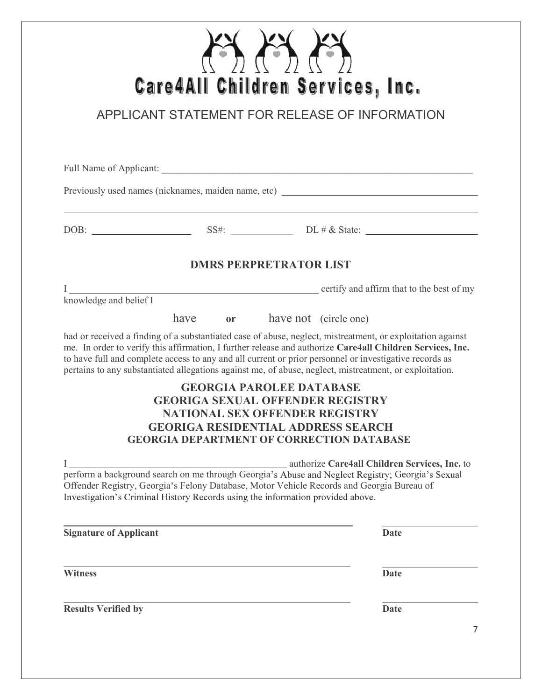

## APPLICANT STATEMENT FOR RELEASE OF INFORMATION

|                               | Care4All Children Services, Inc.                                                                                                                                                                                                                                                                                                                                                                                                                     |                          |                                               |
|-------------------------------|------------------------------------------------------------------------------------------------------------------------------------------------------------------------------------------------------------------------------------------------------------------------------------------------------------------------------------------------------------------------------------------------------------------------------------------------------|--------------------------|-----------------------------------------------|
|                               | APPLICANT STATEMENT FOR RELEASE OF INFORMATION                                                                                                                                                                                                                                                                                                                                                                                                       |                          |                                               |
|                               |                                                                                                                                                                                                                                                                                                                                                                                                                                                      |                          |                                               |
|                               | Previously used names (nicknames, maiden name, etc) _____________________________<br>and the control of the control of the control of the control of the control of the control of the control of the                                                                                                                                                                                                                                                |                          |                                               |
|                               |                                                                                                                                                                                                                                                                                                                                                                                                                                                      |                          |                                               |
|                               | <b>DMRS PERPRETRATOR LIST</b>                                                                                                                                                                                                                                                                                                                                                                                                                        |                          |                                               |
| knowledge and belief I        | certify and affirm that to the best of my                                                                                                                                                                                                                                                                                                                                                                                                            |                          |                                               |
|                               | have<br>had or received a finding of a substantiated case of abuse, neglect, mistreatment, or exploitation against<br>me. In order to verify this affirmation, I further release and authorize Care4all Children Services, Inc.<br>to have full and complete access to any and all current or prior personnel or investigative records as<br>pertains to any substantiated allegations against me, of abuse, neglect, mistreatment, or exploitation. | or have not (circle one) |                                               |
|                               | <b>GEORGIA PAROLEE DATABASE</b><br><b>GEORIGA SEXUAL OFFENDER REGISTRY</b><br><b>NATIONAL SEX OFFENDER REGISTRY</b><br><b>GEORIGA RESIDENTIAL ADDRESS SEARCH</b><br><b>GEORGIA DEPARTMENT OF CORRECTION DATABASE</b>                                                                                                                                                                                                                                 |                          |                                               |
|                               | perform a background search on me through Georgia's Abuse and Neglect Registry; Georgia's Sexual<br>Offender Registry, Georgia's Felony Database, Motor Vehicle Records and Georgia Bureau of<br>Investigation's Criminal History Records using the information provided above.                                                                                                                                                                      |                          | authorize Care4all Children Services, Inc. to |
| <b>Signature of Applicant</b> |                                                                                                                                                                                                                                                                                                                                                                                                                                                      |                          | <b>Date</b>                                   |
| <b>Witness</b>                |                                                                                                                                                                                                                                                                                                                                                                                                                                                      |                          | <b>Date</b>                                   |
| <b>Results Verified by</b>    |                                                                                                                                                                                                                                                                                                                                                                                                                                                      |                          | <b>Date</b>                                   |
|                               |                                                                                                                                                                                                                                                                                                                                                                                                                                                      |                          | 7                                             |
|                               |                                                                                                                                                                                                                                                                                                                                                                                                                                                      |                          |                                               |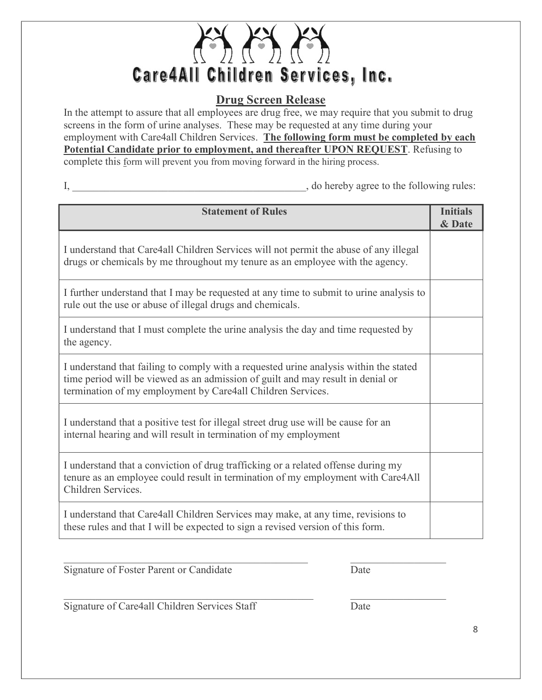## Care4All Children Services, Inc.

**Drug Screen Release**<br>In the attempt to assure that all employees are drug free, we may require that you submit to drug Care4All Children Services, Inc.<br>
In the attempt to assure that all employees are drug free, we may require that you submit to drug<br>
screens in the form of urine analyses. These may be requested at any time during your<br>
em screens in the form of urine analyses. These may be requested at any time during your **Care4All Children Services, Inc.**<br>
In the attempt to assure that all employees are drug free, we may require that you submit to drug<br>
sereems in the form of urine analyses. These may be requested at any time during your<br> Care4All Children Services, Inc.<br>
In the attempt to assure that all employees are drug free, we may require that you submit to drug<br>
sereons in the form of urine analyses. These may be requested at any time during your<br>
em **Care 4AII Children Services, Inc.**<br>
In the attempt to assure that all employees are drug free, we may require that you submit to<br>
screens in the form of urine analyses. These may be requested at any time during your<br>
empl

| Care4All Children Services, Inc.                                                                                                                                                                                                                                                                                                                                                                                                                                                            |                           |
|---------------------------------------------------------------------------------------------------------------------------------------------------------------------------------------------------------------------------------------------------------------------------------------------------------------------------------------------------------------------------------------------------------------------------------------------------------------------------------------------|---------------------------|
| <b>Drug Screen Release</b><br>In the attempt to assure that all employees are drug free, we may require that you submit to drug<br>screens in the form of urine analyses. These may be requested at any time during your<br>employment with Care4all Children Services. The following form must be completed by each<br>Potential Candidate prior to employment, and thereafter UPON REQUEST. Refusing to<br>complete this form will prevent you from moving forward in the hiring process. |                           |
| , do hereby agree to the following rules:                                                                                                                                                                                                                                                                                                                                                                                                                                                   |                           |
| <b>Statement of Rules</b>                                                                                                                                                                                                                                                                                                                                                                                                                                                                   | <b>Initials</b><br>& Date |
| I understand that Care4all Children Services will not permit the abuse of any illegal<br>drugs or chemicals by me throughout my tenure as an employee with the agency.                                                                                                                                                                                                                                                                                                                      |                           |
| I further understand that I may be requested at any time to submit to urine analysis to<br>rule out the use or abuse of illegal drugs and chemicals.                                                                                                                                                                                                                                                                                                                                        |                           |
| I understand that I must complete the urine analysis the day and time requested by<br>the agency.                                                                                                                                                                                                                                                                                                                                                                                           |                           |
| I understand that failing to comply with a requested urine analysis within the stated<br>time period will be viewed as an admission of guilt and may result in denial or<br>termination of my employment by Care4all Children Services.                                                                                                                                                                                                                                                     |                           |
| I understand that a positive test for illegal street drug use will be cause for an<br>internal hearing and will result in termination of my employment                                                                                                                                                                                                                                                                                                                                      |                           |
| I understand that a conviction of drug trafficking or a related offense during my<br>tenure as an employee could result in termination of my employment with Care4All<br>Children Services.                                                                                                                                                                                                                                                                                                 |                           |
| I understand that Care4all Children Services may make, at any time, revisions to<br>these rules and that I will be expected to sign a revised version of this form.                                                                                                                                                                                                                                                                                                                         |                           |
|                                                                                                                                                                                                                                                                                                                                                                                                                                                                                             |                           |
| Signature of Foster Parent or Candidate<br>Date                                                                                                                                                                                                                                                                                                                                                                                                                                             |                           |
| Signature of Care4all Children Services Staff<br>Date                                                                                                                                                                                                                                                                                                                                                                                                                                       |                           |
|                                                                                                                                                                                                                                                                                                                                                                                                                                                                                             | 8                         |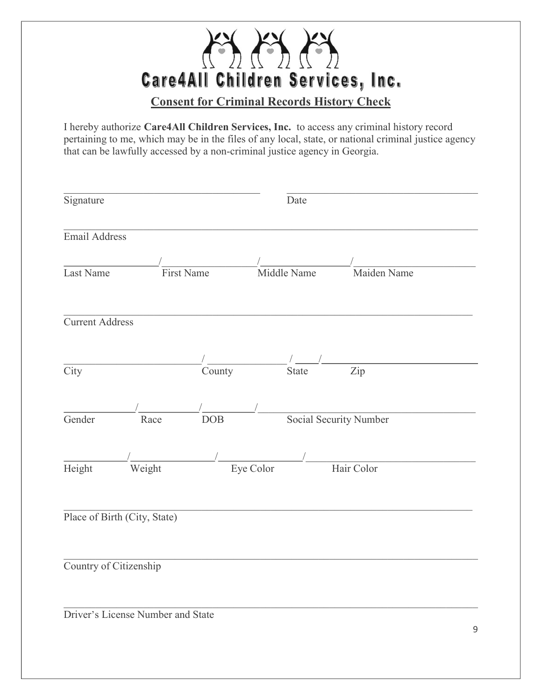# are 4All Children Services, Inc.<br>Consent for Criminal Records History Check<br>Garee 4All Children Services, Inc.<br>ich may be in the files of any local, state, or national criminal justice agency<br>accessed by a non-criminal jus Care4All Children Services, Inc.<br>
Consent for Criminal Records History Check<br>
I hereby authorize Care4All Children Services, Inc.<br>
I hereby authorize Care4All Children Services, Inc. to access any criminal history record<br>

|                                   |        | Care4All Children Services, Inc.                                                                                                                                                                                                                                                |                         |                               |   |
|-----------------------------------|--------|---------------------------------------------------------------------------------------------------------------------------------------------------------------------------------------------------------------------------------------------------------------------------------|-------------------------|-------------------------------|---|
|                                   |        | <b>Consent for Criminal Records History Check</b>                                                                                                                                                                                                                               |                         |                               |   |
|                                   |        | I hereby authorize Care4All Children Services, Inc. to access any criminal history record<br>pertaining to me, which may be in the files of any local, state, or national criminal justice agency<br>that can be lawfully accessed by a non-criminal justice agency in Georgia. |                         |                               |   |
| Signature                         |        |                                                                                                                                                                                                                                                                                 | Date                    |                               |   |
| <b>Email Address</b>              |        |                                                                                                                                                                                                                                                                                 |                         |                               |   |
| Last Name                         |        | <b>First Name</b>                                                                                                                                                                                                                                                               | Middle Name             | Maiden Name                   |   |
| <b>Current Address</b>            |        |                                                                                                                                                                                                                                                                                 |                         |                               |   |
| City                              |        | County                                                                                                                                                                                                                                                                          | $\overline{1}$<br>State | Zip                           |   |
|                                   |        |                                                                                                                                                                                                                                                                                 |                         |                               |   |
| Gender                            | Race   | DOB                                                                                                                                                                                                                                                                             |                         | <b>Social Security Number</b> |   |
| Height                            | Weight |                                                                                                                                                                                                                                                                                 | Eye Color               | Hair Color                    |   |
| Place of Birth (City, State)      |        |                                                                                                                                                                                                                                                                                 |                         |                               |   |
|                                   |        |                                                                                                                                                                                                                                                                                 |                         |                               |   |
| Country of Citizenship            |        |                                                                                                                                                                                                                                                                                 |                         |                               |   |
| Driver's License Number and State |        |                                                                                                                                                                                                                                                                                 |                         |                               | 9 |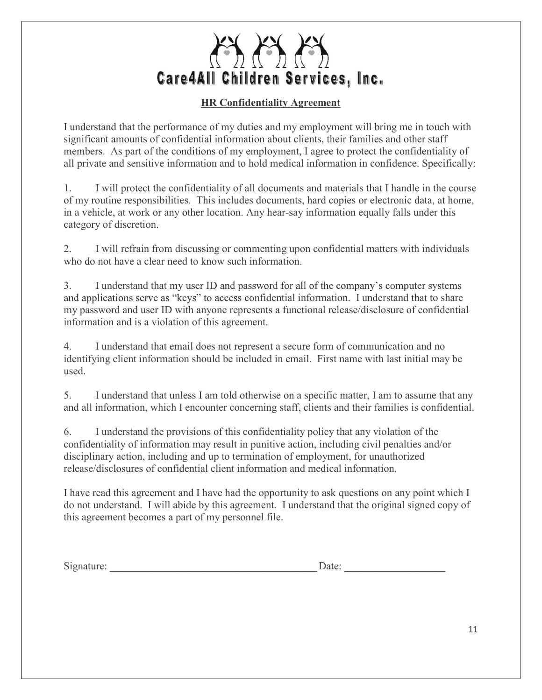## HR Confidentiality Agreement

I understand that the performance of my duties and my employment will bring me in touch with significant amounts of confidential information about clients, their families and other staff members. As part of the conditions of my employment, I agree to protect the confidentiality of all private and sensitive information and to hold medical information in confidence. Specifically: **Care 4AIII Children Services, Inc.**<br> **Examples 1.** IRC.<br> **Examples 1.** IRC.<br> **EXAMPLE SERVICES, INC.**<br>
II understand that the performance of my duties and my employment will bring me in touch with<br>
significant amounts of 2. I will refrain from discussing or commenting upon confidential matters with individuals I understand that the performance of my duties and my employment will bring me in touch with<br>significant amounts of confidential information about clients, their families and other staff<br>members. As part of the conditions

of my routine responsibilities. This includes documents, hard copies or electronic data, at home, in a vehicle, at work or any other location. Any hear-say information equally falls under this category of discretion. Example that the confidentiality of all documents and materials that I handle in the course<br>of my routine responsibilities. This includes documents, hard copies or clectronic data, at home,<br>in a vehicle, at work or any oth 1. I will protect the confidentiality of all documents and materials that I handle in the course of my routine responsibilites. This includes documents, hard copies or electronic data, at home, or my other location. Any he

who do not have a clear need to know such information.

**Care 4AIII Children Services, Inc.**<br> **Care 4AIII Children Services, Inc.**<br> **ERCONGIGENT CONSTANTS (SERVICES) EXECUTES:**<br> **ERCONGIGENTER INCONGIGENT CONSTANTS (SERVICES)**<br> **ERCONGIGENT IN THE CONSTANTS (SERVICES)**<br> **EXECU** and applications serve as "keys" to access confidential information. I understand that to share my password and user ID with anyone represents a functional release/disclosure of confidential information and is a violation of this agreement. 6. In indicate the provision and the provision of the provision of the provision of the provision of this category of discretion.<br>
2. I will refrain from discussing or commenting upon confidential matters with individuals 1.<br>
I understand that my user ID and password for all of the company's computer systems<br>
and applications serve as "keys" to access confidential information. I understand that to share<br>
my password and user ID with anyone

identifying client information should be included in email. First name with last initial may be used.

confidentiality of information may result in punitive action, including civil penalties and/or disciplinary action, including and up to termination of employment, for unauthorized release/disclosures of confidential client information and medical information. 4. I understand that email does not represent a secure form of communication and no<br>
identifying client information should be included in email. First name with last initial may be<br>
used.<br>
5. I understand that unless I am

do not understand. I will abide by this agreement. I understand that the original signed copy of this agreement becomes a part of my personnel file.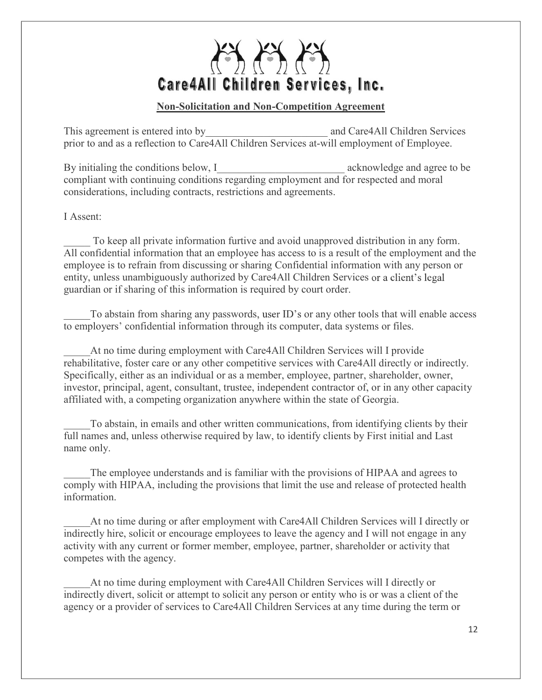# Care4All Children Services, Inc.<br>
Non-Solicitation and Non-Competition Agreement<br>
This agreement is entered into by<br>
mitialing the conditions below, I and Care4All Children Services<br>
By initialing the conditions below, I

## Non-Solicitation and Non-Competition Agreement

prior to and as a reflection to Care4All Children Services at-will employment of Employee.

**Care 4All Children Services, Inc.**<br>
Non-Solicitation and Non-Connetition Agreement<br>
This agreement is entered into by<br>
prior to and as a reflection to Care4All Children Services at-will employment of Employee.<br>
By initia compliant with continuing conditions regarding employment and for respected and moral considerations, including contracts, restrictions and agreements.

## I Assent:

**Care 4AII Children Services, Inc.**<br>
This agreement is entered into by<br>
This agreement is entered into by<br>
The momental Children Services at-will employment of Employee.<br>
By initializy the conditions below, I can be caref **Care 4All Children Services, Inc.**<br>
Non-Solicitation and Non-Competition Agreement<br>
This agreement is entered into by and Care4All Children Services<br>
prior to and as a reflection to Care4All Children Services at-will emp **Care 4All Children Services, Inc.**<br> **Care 4All Children Services, Inc.**<br>
Non-Solicitation and Non-Competition Agreement<br>
This agreement is entered into by and Care4All Children Services<br>
prior to and as a reflection to C **Care4All Children Services, Inc.**<br> **Care4All Children Services, Inc.**<br>
Non-Solicitation and Non-Competition Agreement<br>
This agreement is entered into by and Care4All Children Services at-will employment of Employee.<br>
By i **Care 4All Children Services, Inc.**<br> **Care 4All Children Services, Inc.**<br>
Non-Solicitation and Non-Competition Agreement<br>
This agreement is entered into by and Care4All Children Services<br>
prior to and as a reflection to C more this and Care4All Children Services<br>prior to and as a reflection to Care4All Children Services at-will employment of Employee.<br>By initialing the conditions below, I<br>compliant with continuing conditions regarding emplo rior to and as a reflection to Care4All Children Services at-will employment of Employee.<br>By initialing the conditions below, I and the competitive formulations of the compliant with continuing conditions regarding employm Final or and a reference of the condition of the condition of the compliant with conditions (compliant with continuing contracts, restrictions and agreements.<br>
The compliant with continuing contracts, restrictions and agre

To abstain from sharing any passwords, user ID's or any other tools that will enable access to employers' confidential information through its computer, data systems or files.

investor, principal, agent, consultant, trustee, independent contractor of, or in any other capacity affiliated with, a competing organization anywhere within the state of Georgia. or the members is the refinite from discussing or sharing Confidential information with any person or<br>entity, unless unambiguously authorized by Care4All Childens Services or a client's legal<br>guard or if sharing of this in Lemannia or a time during or after employees to leave the services will lemal the comployers' confidential information through its computer, data systems or files.<br>At no time during amy passwords, user ID's or any other to To abstain from sharing any passwords, user ID's or any other tools that will enable access<br>to employers' confidential information through its computer, data systems or files.<br>At no time during employment with Care4All Chi

To abstain, in emails and other written communications, from identifying clients by their full names and, unless otherwise required by law, to identify clients by First initial and Last name only.

The employee understands and is familiar with the provisions of HIPAA and agrees to information.

activity with any current or former member, employee, partner, shareholder or activity that competes with the agency. spectrum, et al. minder of services to carefort, employee particles in any other capacity investor, principal, agent, consultant, trustee, independent contractor of, or in any other capacit affiliated with, a competing org

\_\_\_\_\_At no time during employment with Care4All Children Services will I directly or indirectly divert, solicit or attempt to solicit any person or entity who is or was a client of the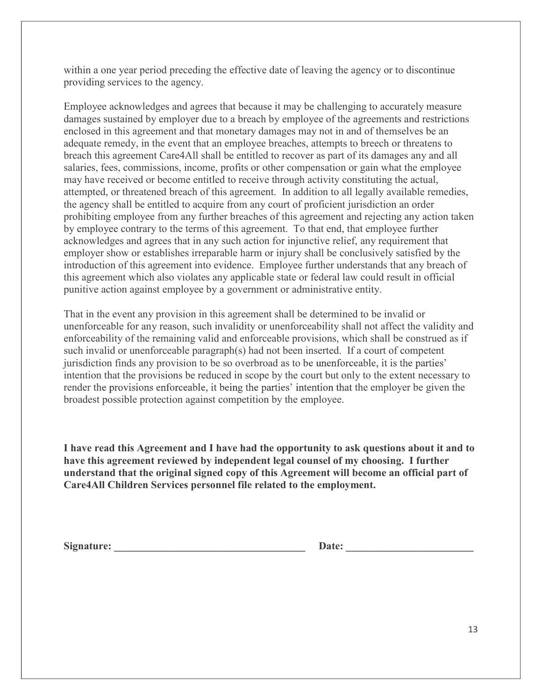providing services to the agency.

within a one year period preceding the effective date of leaving the agency or to discontinue<br>providing services to the agency.<br>Employee acknowledges and agrees that because it may be challenging to accurately measure<br>dama within a one year period preceding the effective date of leaving the agency or to discontinue<br>providing services to the agency.<br>Employee acknowledges and agrees that because it may be challenging to accurately measure<br>dama damages sustained by employer due to a breach by employee of the agreements and restrictions within a one year period preceding the effective date of leaving the agency or to discontinue<br>providing services to the agency.<br>Employee acknowledges and agrees that because it may be challenging to accurately measure<br>dama within a one year period preceding the effective date of leaving the agency or to discontinue providing services to the agency.<br>Employee acknowledges and agrees that because it may be challenging to accurately measure dama within a one year period preceding the effective date of leaving the agency or to discontinue<br>providing services to the agency.<br>Employee acknowledges and agrees that because it may be challenging to accurately measure<br>dama within a one year period preceding the effective date of leaving the agency or to discontinue<br>providing services to the agency.<br>Employce acknowledges and agrees that because it may be challenging to accurately measure<br>dama may have received or become entitled to receive through activity constituting the actual, attempted, or threatened breach of this agreement. In addition to all legally available remedies, within a one year period preceding the effective date of leaving the agency or to discontinue<br>providing scrvices to the agency.<br>Employee acknowledges and agrees that because it may be challenging to accurately measure<br>dama providing services to the agency.<br>
Employee acknowledges and agrees that because it may be challenging to accurately measure<br>
Employee acknowledges and agrees that because it may be challenging to accurately measure<br>
damag by employee contrary to the terms of this agreement. To that end, that employee further acknowledges and agrees that in any such action for injunctive relief, any requirement that within a one year period preceding the effective date of leaving the agency or to discontinue<br>providing services to the agency.<br>Employee acknowledges and agrees that because it may be challenging to accurately measure<br>dama introduction of this agreement into evidence. Employee further understands that any breach of this agreement which also violates any applicable state or federal law could result in official punitive action against employee by a government or administrative entity.

That in the event any provision in this agreement shall be determined to be invalid or unenforceable for any reason, such invalidity or unenforceability shall not affect the validity and enforceability of the remaining valid and enforceable provisions, which shall be construed as if such invalid or unenforceable paragraph(s) had not been inserted. If a court of competent jurisdiction finds any provision to be so overbroad as to be unenforceable, it is the parties' intention that the provisions be reduced in scope by the court but only to the extent necessary to render the provisions enforceable, it being the parties' intention that the employer be given the broadest possible protection against competition by the employee. Framework that the provision and the mathematic content and the content of the contributed of the remaining valid and enforceability shall not affect the validity and enforceable for any reason, such invalidity or unenforc

I have read this Agreement and I have had the opportunity to ask questions about it and to have this agreement reviewed by independent legal counsel of my choosing. I further understand that the original signed copy of this Agreement will become an official part of Care4All Children Services personnel file related to the employment.